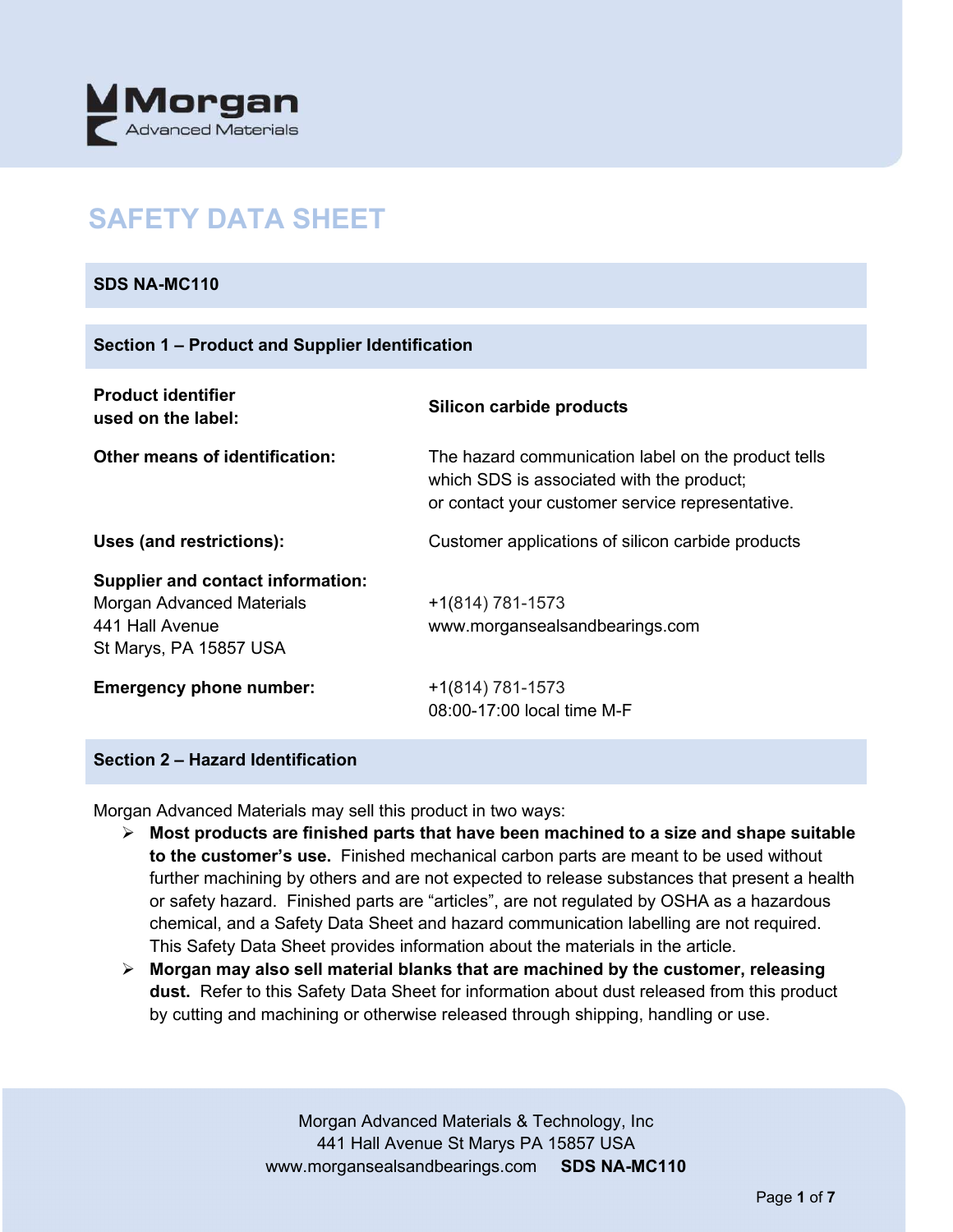

# **SAFETY DATA SHEET**

#### **SDS NA-MC110**

| Section 1 – Product and Supplier Identification                                                                    |                                                                                                                                                      |  |  |
|--------------------------------------------------------------------------------------------------------------------|------------------------------------------------------------------------------------------------------------------------------------------------------|--|--|
| <b>Product identifier</b><br>used on the label:                                                                    | Silicon carbide products                                                                                                                             |  |  |
| Other means of identification:                                                                                     | The hazard communication label on the product tells<br>which SDS is associated with the product;<br>or contact your customer service representative. |  |  |
| Uses (and restrictions):                                                                                           | Customer applications of silicon carbide products                                                                                                    |  |  |
| <b>Supplier and contact information:</b><br>Morgan Advanced Materials<br>441 Hall Avenue<br>St Marys, PA 15857 USA | +1(814) 781-1573<br>www.morgansealsandbearings.com                                                                                                   |  |  |
| <b>Emergency phone number:</b>                                                                                     | +1(814) 781-1573<br>08:00-17:00 local time M-F                                                                                                       |  |  |

#### **Section 2 – Hazard Identification**

Morgan Advanced Materials may sell this product in two ways:

- **Most products are finished parts that have been machined to a size and shape suitable to the customer's use.** Finished mechanical carbon parts are meant to be used without further machining by others and are not expected to release substances that present a health or safety hazard. Finished parts are "articles", are not regulated by OSHA as a hazardous chemical, and a Safety Data Sheet and hazard communication labelling are not required. This Safety Data Sheet provides information about the materials in the article.
- **Morgan may also sell material blanks that are machined by the customer, releasing dust.** Refer to this Safety Data Sheet for information about dust released from this product by cutting and machining or otherwise released through shipping, handling or use.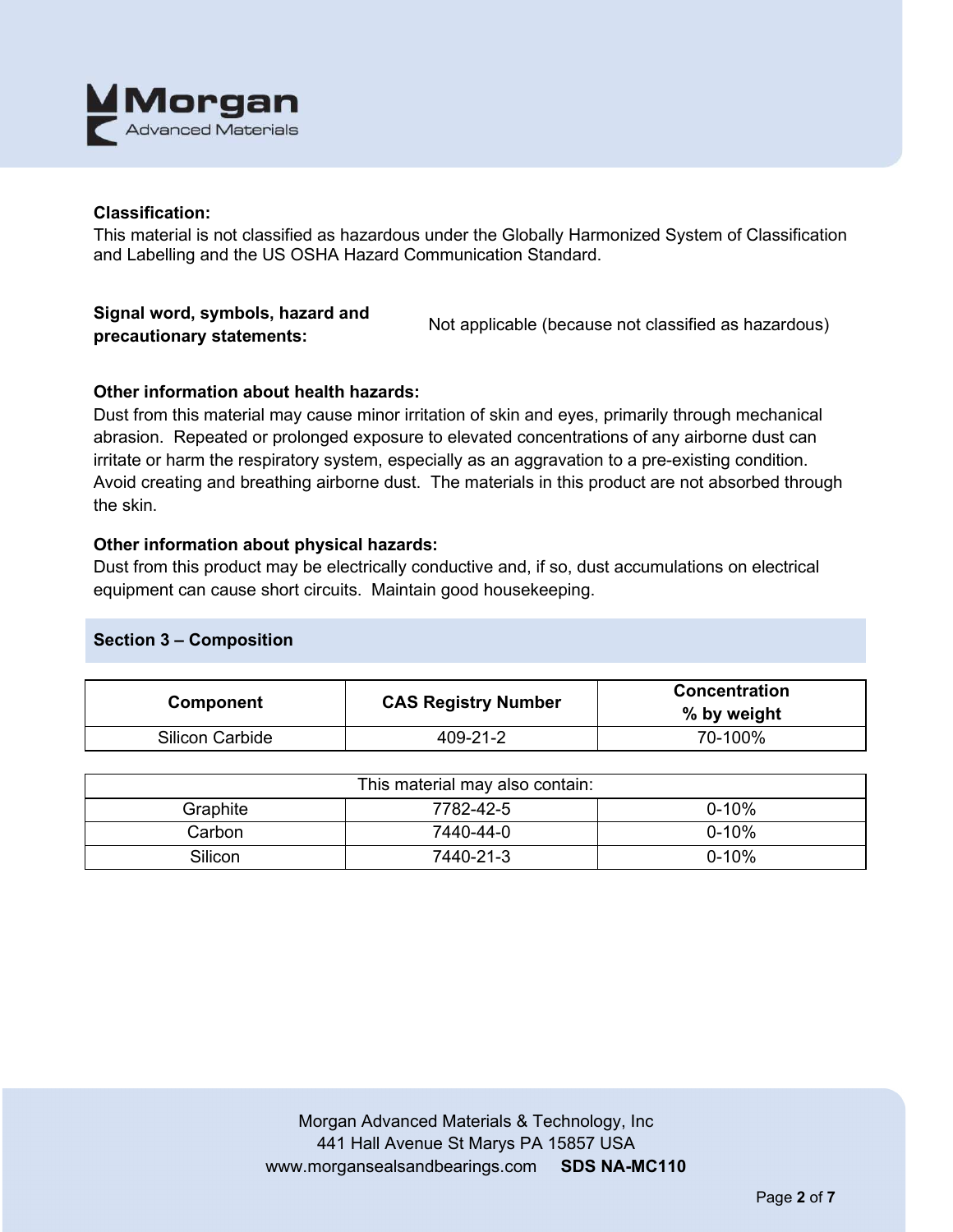

#### **Classification:**

This material is not classified as hazardous under the Globally Harmonized System of Classification and Labelling and the US OSHA Hazard Communication Standard.

#### **Signal word, symbols, hazard and precautionary statements:** Not applicable (because not classified as hazardous)

## **Other information about health hazards:**

Dust from this material may cause minor irritation of skin and eyes, primarily through mechanical abrasion. Repeated or prolonged exposure to elevated concentrations of any airborne dust can irritate or harm the respiratory system, especially as an aggravation to a pre-existing condition. Avoid creating and breathing airborne dust. The materials in this product are not absorbed through the skin.

#### **Other information about physical hazards:**

Dust from this product may be electrically conductive and, if so, dust accumulations on electrical equipment can cause short circuits. Maintain good housekeeping.

## **Section 3 – Composition**

| Component              | <b>CAS Registry Number</b> | <b>Concentration</b><br>% by weight |
|------------------------|----------------------------|-------------------------------------|
| <b>Silicon Carbide</b> | 409-21-2                   | 70-100%                             |

| This material may also contain: |           |           |  |
|---------------------------------|-----------|-----------|--|
| Graphite                        | 7782-42-5 | $0 - 10%$ |  |
| Carbon                          | 7440-44-0 | $0 - 10%$ |  |
| Silicon                         | 7440-21-3 | $0 - 10%$ |  |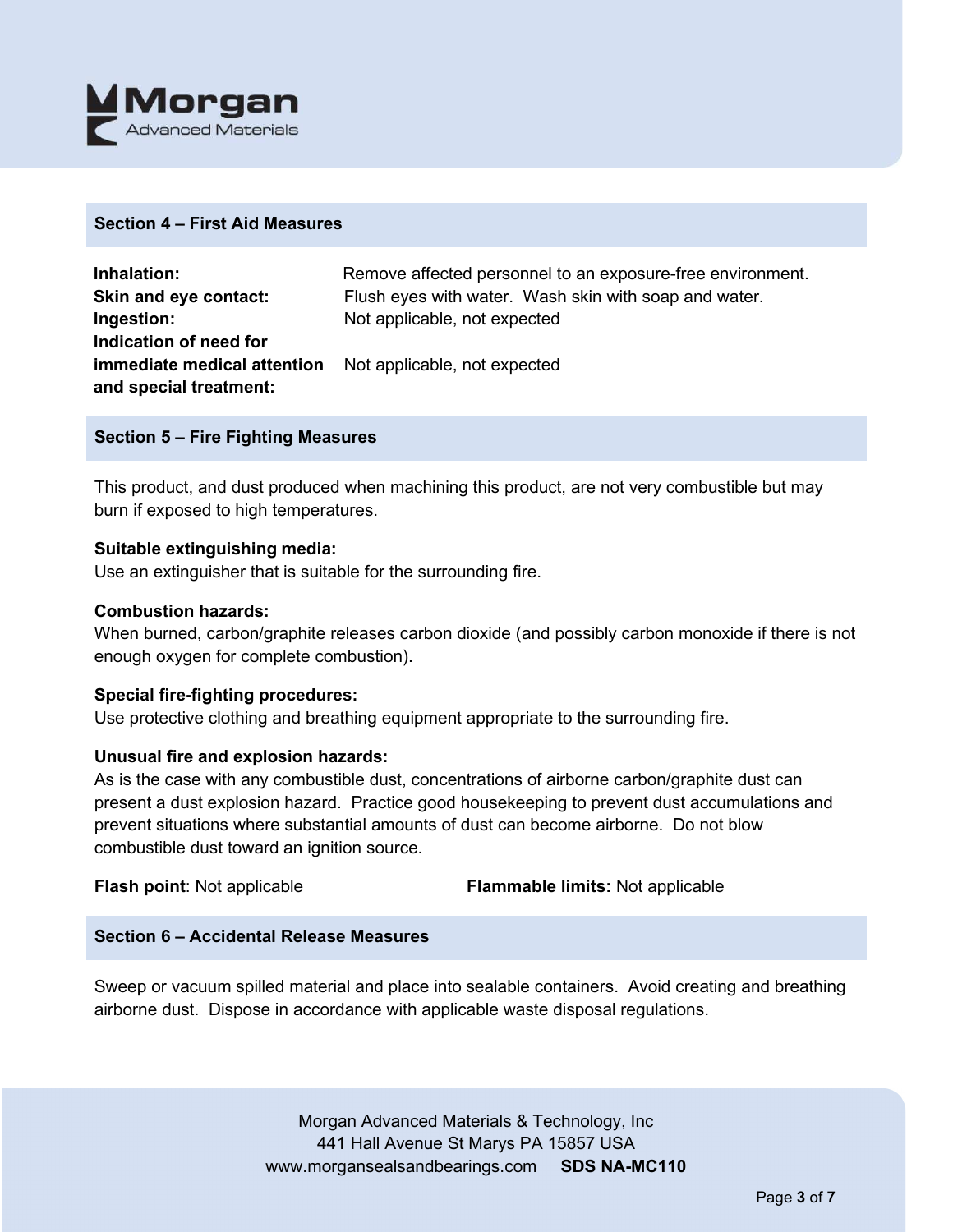

#### **Section 4 – First Aid Measures**

| Inhalation:                 | Remove affected personnel to an exposure-free environment. |
|-----------------------------|------------------------------------------------------------|
| Skin and eye contact:       | Flush eyes with water. Wash skin with soap and water.      |
| Ingestion:                  | Not applicable, not expected                               |
| Indication of need for      |                                                            |
| immediate medical attention | Not applicable, not expected                               |
| and special treatment:      |                                                            |

#### **Section 5 – Fire Fighting Measures**

This product, and dust produced when machining this product, are not very combustible but may burn if exposed to high temperatures.

#### **Suitable extinguishing media:**

Use an extinguisher that is suitable for the surrounding fire.

#### **Combustion hazards:**

When burned, carbon/graphite releases carbon dioxide (and possibly carbon monoxide if there is not enough oxygen for complete combustion).

#### **Special fire-fighting procedures:**

Use protective clothing and breathing equipment appropriate to the surrounding fire.

#### **Unusual fire and explosion hazards:**

As is the case with any combustible dust, concentrations of airborne carbon/graphite dust can present a dust explosion hazard. Practice good housekeeping to prevent dust accumulations and prevent situations where substantial amounts of dust can become airborne. Do not blow combustible dust toward an ignition source.

**Flash point**: Not applicable **Flammable limits:** Not applicable

## **Section 6 – Accidental Release Measures**

Sweep or vacuum spilled material and place into sealable containers. Avoid creating and breathing airborne dust. Dispose in accordance with applicable waste disposal regulations.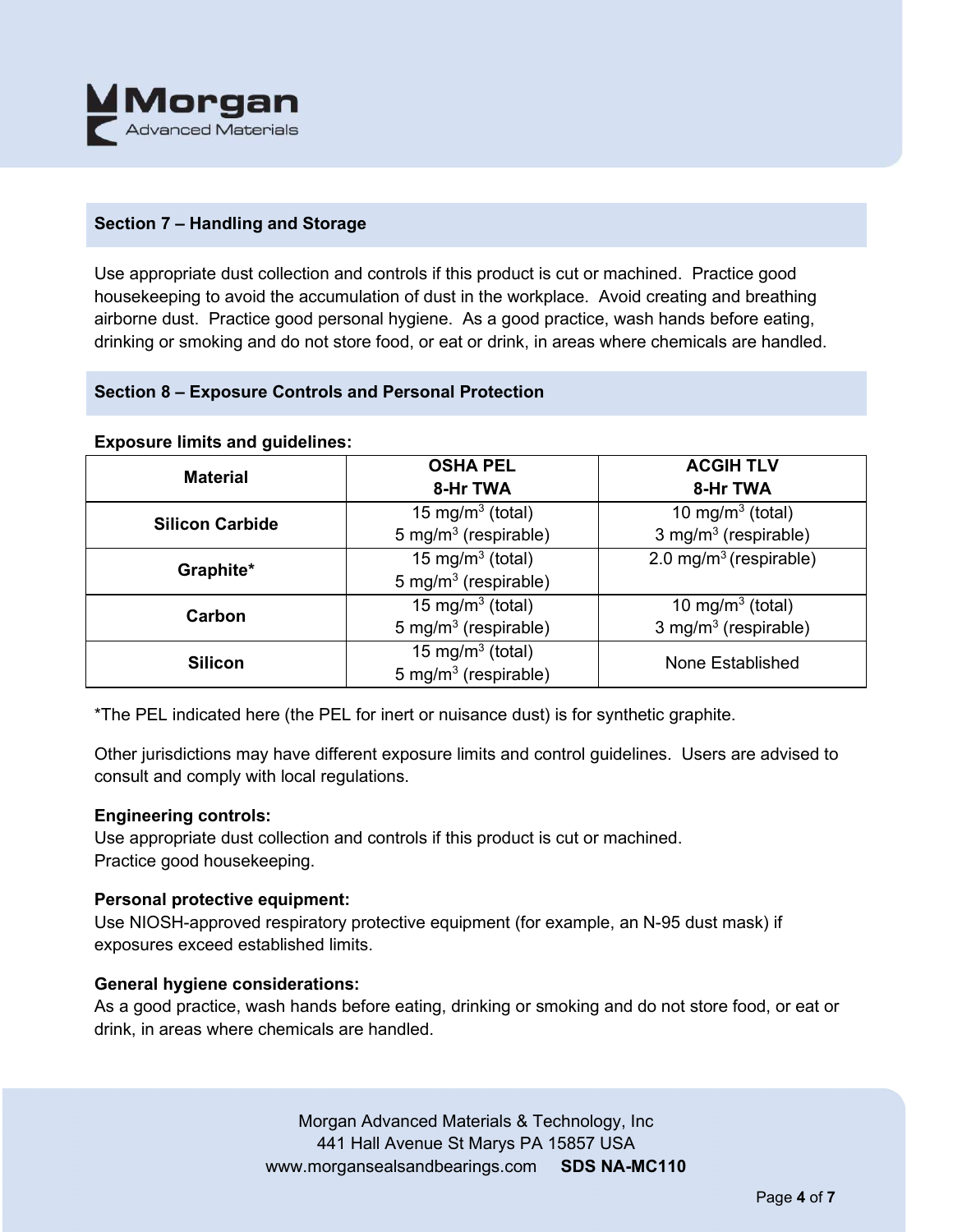

## **Section 7 – Handling and Storage**

Use appropriate dust collection and controls if this product is cut or machined. Practice good housekeeping to avoid the accumulation of dust in the workplace. Avoid creating and breathing airborne dust. Practice good personal hygiene. As a good practice, wash hands before eating, drinking or smoking and do not store food, or eat or drink, in areas where chemicals are handled.

## **Section 8 – Exposure Controls and Personal Protection**

#### **Exposure limits and guidelines:**

| <b>Material</b>        | <b>OSHA PEL</b>                  | <b>ACGIH TLV</b>                   |  |
|------------------------|----------------------------------|------------------------------------|--|
|                        | 8-Hr TWA                         | 8-Hr TWA                           |  |
| <b>Silicon Carbide</b> | 15 mg/m <sup>3</sup> (total)     | 10 mg/m $3$ (total)                |  |
|                        | 5 mg/m <sup>3</sup> (respirable) | 3 mg/m $3$ (respirable)            |  |
| Graphite*              | 15 mg/m <sup>3</sup> (total)     | 2.0 mg/m <sup>3</sup> (respirable) |  |
|                        | 5 mg/m <sup>3</sup> (respirable) |                                    |  |
| Carbon                 | 15 mg/m <sup>3</sup> (total)     | 10 mg/m <sup>3</sup> (total)       |  |
|                        | 5 mg/m <sup>3</sup> (respirable) | 3 mg/m <sup>3</sup> (respirable)   |  |
| <b>Silicon</b>         | 15 mg/m <sup>3</sup> (total)     | None Established                   |  |
|                        | 5 mg/m <sup>3</sup> (respirable) |                                    |  |

\*The PEL indicated here (the PEL for inert or nuisance dust) is for synthetic graphite.

Other jurisdictions may have different exposure limits and control guidelines. Users are advised to consult and comply with local regulations.

#### **Engineering controls:**

Use appropriate dust collection and controls if this product is cut or machined. Practice good housekeeping.

## **Personal protective equipment:**

Use NIOSH-approved respiratory protective equipment (for example, an N-95 dust mask) if exposures exceed established limits.

## **General hygiene considerations:**

As a good practice, wash hands before eating, drinking or smoking and do not store food, or eat or drink, in areas where chemicals are handled.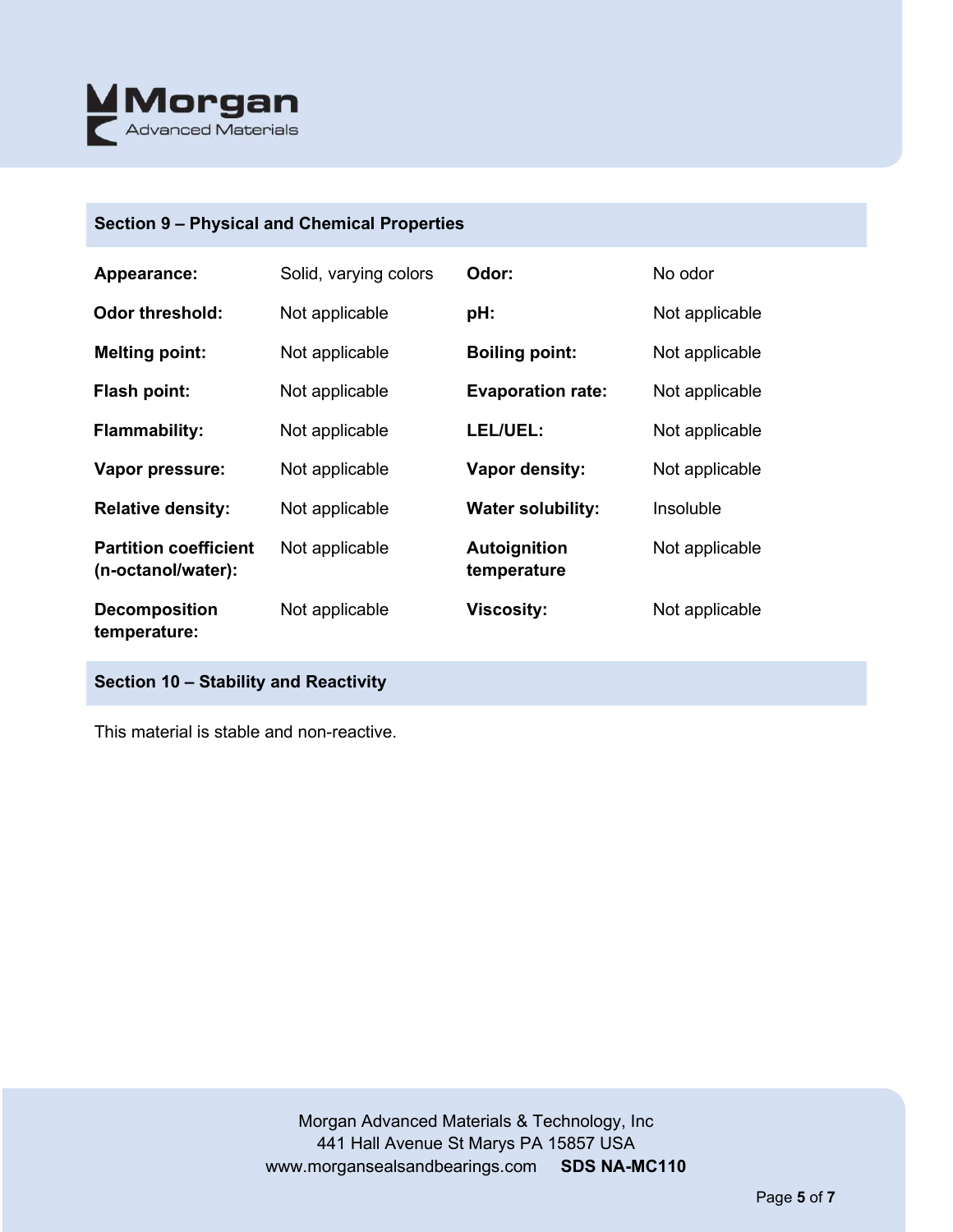

# **Section 9 – Physical and Chemical Properties**

| Appearance:                                        | Solid, varying colors | Odor:                              | No odor        |
|----------------------------------------------------|-----------------------|------------------------------------|----------------|
| <b>Odor threshold:</b>                             | Not applicable        | pH:                                | Not applicable |
| <b>Melting point:</b>                              | Not applicable        | <b>Boiling point:</b>              | Not applicable |
| <b>Flash point:</b>                                | Not applicable        | <b>Evaporation rate:</b>           | Not applicable |
| <b>Flammability:</b>                               | Not applicable        | LEL/UEL:                           | Not applicable |
| Vapor pressure:                                    | Not applicable        | Vapor density:                     | Not applicable |
| <b>Relative density:</b>                           | Not applicable        | <b>Water solubility:</b>           | Insoluble      |
| <b>Partition coefficient</b><br>(n-octanol/water): | Not applicable        | <b>Autoignition</b><br>temperature | Not applicable |
| <b>Decomposition</b><br>temperature:               | Not applicable        | <b>Viscosity:</b>                  | Not applicable |

# **Section 10 – Stability and Reactivity**

This material is stable and non-reactive.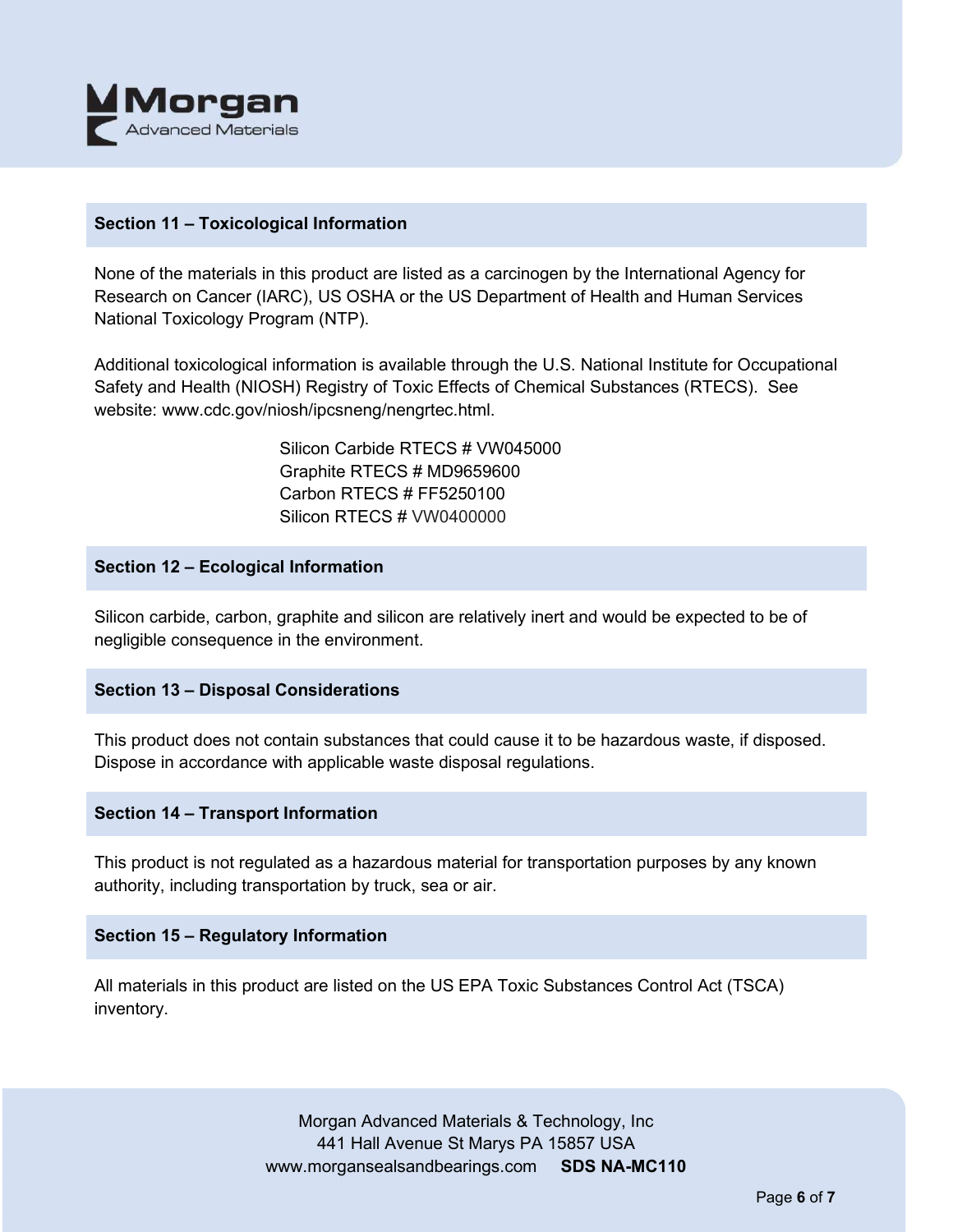

#### **Section 11 – Toxicological Information**

None of the materials in this product are listed as a carcinogen by the International Agency for Research on Cancer (IARC), US OSHA or the US Department of Health and Human Services National Toxicology Program (NTP).

Additional toxicological information is available through the U.S. National Institute for Occupational Safety and Health (NIOSH) Registry of Toxic Effects of Chemical Substances (RTECS). See website: www.cdc.gov/niosh/ipcsneng/nengrtec.html.

> Silicon Carbide RTECS # VW045000 Graphite RTECS # MD9659600 Carbon RTECS # FF5250100 Silicon RTECS # VW0400000

#### **Section 12 – Ecological Information**

Silicon carbide, carbon, graphite and silicon are relatively inert and would be expected to be of negligible consequence in the environment.

## **Section 13 – Disposal Considerations**

This product does not contain substances that could cause it to be hazardous waste, if disposed. Dispose in accordance with applicable waste disposal regulations.

#### **Section 14 – Transport Information**

This product is not regulated as a hazardous material for transportation purposes by any known authority, including transportation by truck, sea or air.

#### **Section 15 – Regulatory Information**

All materials in this product are listed on the US EPA Toxic Substances Control Act (TSCA) inventory.